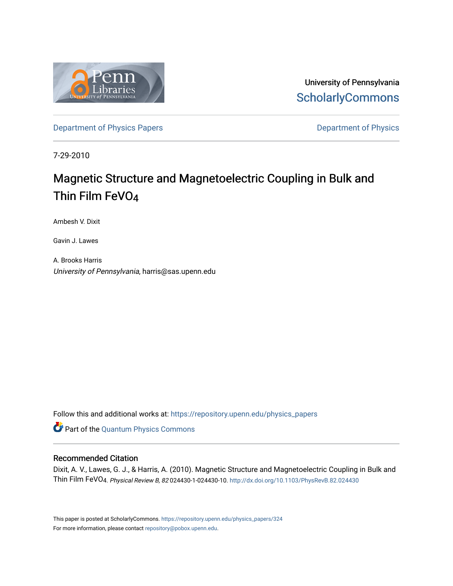

University of Pennsylvania **ScholarlyCommons** 

Department of Physics Papers **Department of Physics** 

7-29-2010

# Magnetic Structure and Magnetoelectric Coupling in Bulk and Thin Film FeVO4

Ambesh V. Dixit

Gavin J. Lawes

A. Brooks Harris University of Pennsylvania, harris@sas.upenn.edu

Follow this and additional works at: https://repository.upenn.edu/physics\_papers

**P** Part of the Quantum Physics Commons

# Recommended Citation

Dixit, A. V., Lawes, G. J., & Harris, A. (2010). Magnetic Structure and Magnetoelectric Coupling in Bulk and Thin Film FeVO4. Physical Review B, <sup>82</sup> 024430-1-024430-10. http://dx.doi.org/10.1103/PhysRevB.82.024430

This paper is posted at ScholarlyCommons. https://repository.upenn.edu/physics\_papers/324 For more information, please contact repository@pobox.upenn.edu.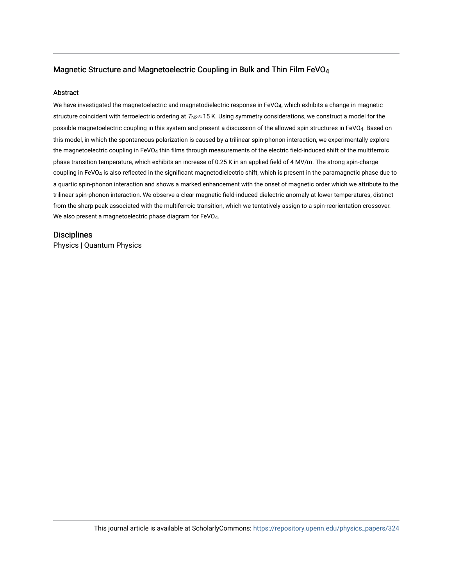# Magnetic Structure and Magnetoelectric Coupling in Bulk and Thin Film FeVO4

# Abstract

We have investigated the magnetoelectric and magnetodielectric response in FeVO<sub>4</sub>, which exhibits a change in magnetic structure coincident with ferroelectric ordering at  $T_{N2} \approx 15$  K. Using symmetry considerations, we construct a model for the possible magnetoelectric coupling in this system and present a discussion of the allowed spin structures in FeVO4. Based on this model, in which the spontaneous polarization is caused by a trilinear spin-phonon interaction, we experimentally explore the magnetoelectric coupling in FeVO4 thin films through measurements of the electric field-induced shift of the multiferroic phase transition temperature, which exhibits an increase of 0.25 K in an applied field of 4 MV/m. The strong spin-charge coupling in FeVO4 is also reflected in the significant magnetodielectric shift, which is present in the paramagnetic phase due to a quartic spin-phonon interaction and shows a marked enhancement with the onset of magnetic order which we attribute to the trilinear spin-phonon interaction. We observe a clear magnetic field-induced dielectric anomaly at lower temperatures, distinct from the sharp peak associated with the multiferroic transition, which we tentatively assign to a spin-reorientation crossover. We also present a magnetoelectric phase diagram for FeVO4.

# **Disciplines**

Physics | Quantum Physics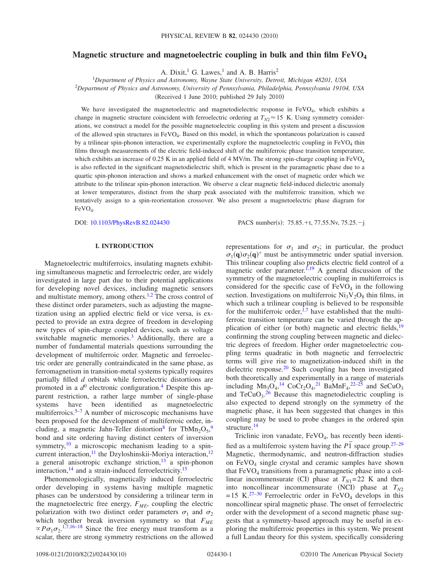# **Magnetic structure and magnetoelectric coupling in bulk and thin film FeVO<sup>4</sup>**

A. Dixit,<sup>1</sup> G. Lawes,<sup>1</sup> and A. B. Harris<sup>2</sup>

<sup>1</sup>*Department of Physics and Astronomy, Wayne State University, Detroit, Michigan 48201, USA* <sup>2</sup>*Department of Physics and Astronomy, University of Pennsylvania, Philadelphia, Pennsylvania 19104, USA* (Received 1 June 2010; published  $29$  July  $2010$ )

We have investigated the magnetoelectric and magnetodielectric response in  $FeVO<sub>4</sub>$ , which exhibits a change in magnetic structure coincident with ferroelectric ordering at  $T_{N2} \approx 15$  K. Using symmetry considerations, we construct a model for the possible magnetoelectric coupling in this system and present a discussion of the allowed spin structures in FeVO<sup>4</sup> . Based on this model, in which the spontaneous polarization is caused by a trilinear spin-phonon interaction, we experimentally explore the magnetoelectric coupling in  $FeVO<sub>4</sub>$  thin films through measurements of the electric field-induced shift of the multiferroic phase transition temperature, which exhibits an increase of 0.25 K in an applied field of 4 MV/m. The strong spin-charge coupling in FeVO<sub>4</sub> is also reflected in the significant magnetodielectric shift, which is present in the paramagnetic phase due to a quartic spin-phonon interaction and shows a marked enhancement with the onset of magnetic order which we attribute to the trilinear spin-phonon interaction. We observe a clear magnetic field-induced dielectric anomaly at lower temperatures, distinct from the sharp peak associated with the multiferroic transition, which we tentatively assign to a spin-reorientation crossover. We also present a magnetoelectric phase diagram for  $FeVO<sub>4</sub>$ .

DOI: 10.1103/PhysRevB.82.024430

: 75.85. $+t$ , 77.55. $Nv$ , 75.25. $-j$ 

# **I. INTRODUCTION**

Magnetoelectric multiferroics, insulating magnets exhibiting simultaneous magnetic and ferroelectric order, are widely investigated in large part due to their potential applications for developing novel devices, including magnetic sensors and multistate memory, among others.<sup>1,2</sup> The cross control of these distinct order parameters, such as adjusting the magnetization using an applied electric field or vice versa, is expected to provide an extra degree of freedom in developing new types of spin-charge coupled devices, such as voltage switchable magnetic memories. $3$  Additionally, there are a number of fundamental materials questions surrounding the development of multiferroic order. Magnetic and ferroelectric order are generally contraindicated in the same phase, as ferromagnetism in transition-metal systems typically requires partially filled *d* orbitals while ferroelectric distortions are promoted in a  $d^0$  electronic configuration.<sup>4</sup> Despite this apparent restriction, a rather large number of single-phase systems have been identified as magnetoelectric multiferroics.<sup>5–7</sup> A number of microscopic mechanisms have been proposed for the development of multiferroic order, including, a magnetic Jahn-Teller distortion<sup>8</sup> for TbMn<sub>2</sub>O<sub>5</sub>,<sup>9</sup> bond and site ordering having distinct centers of inversion symmetry, $\frac{10}{10}$  a microscopic mechanism leading to a spincurrent interaction,<sup>11</sup> the Dzyloshinskii-Moriya interaction,<sup>12</sup> a general anisotropic exchange striction, $13$  a spin-phonon interaction,  $^{14}$  and a strain-induced ferroelectricity.<sup>15</sup>

Phenomenologically, magnetically induced ferroelectric order developing in systems having multiple magnetic phases can be understood by considering a trilinear term in the magnetoelectric free energy, *FME*, coupling the electric polarization with two distinct order parameters  $\sigma_1$  and  $\sigma_2$ which together break inversion symmetry so that *FME*  $\propto P \sigma_1 \sigma_2$ .<sup>1,7,16–18</sup> Since the free energy must transform as a scalar, there are strong symmetry restrictions on the allowed

representations for  $\sigma_1$  and  $\sigma_2$ ; in particular, the product  $\sigma_1(\mathbf{q})\sigma_2(\mathbf{q})^*$  must be antisymmetric under spatial inversion. This trilinear coupling also predicts electric field control of a magnetic order parameter.<sup>1,19</sup> A general discussion of the symmetry of the magnetoelectric coupling in multiferroics is considered for the specific case of  $FeVO<sub>4</sub>$  in the following section. Investigations on multiferroic  $Ni<sub>3</sub>V<sub>2</sub>O<sub>8</sub>$  thin films, in which such a trilinear coupling is believed to be responsible for the multiferroic order, $1,7$  have established that the multiferroic transition temperature can be varied through the application of either (or both) magnetic and electric fields, <sup>19</sup> confirming the strong coupling between magnetic and dielectric degrees of freedom. Higher order magnetoelectric coupling terms quadratic in both magnetic and ferroelectric terms will give rise to magnetization-induced shift in the dielectric response. $20$  Such coupling has been investigated both theoretically and experimentally in a range of materials including  $Mn_3O_4$ ,<sup>14</sup> CoCr<sub>2</sub>O<sub>4</sub>,<sup>21</sup> BaMnF<sub>4</sub>,<sup>22–25</sup> and SeCuO<sub>3</sub> and  $TeCuO<sub>3</sub>$ .<sup>26</sup> Because this magnetodielectric coupling is also expected to depend strongly on the symmetry of the magnetic phase, it has been suggested that changes in this coupling may be used to probe changes in the ordered spin structure.<sup>14</sup>

Triclinic iron vanadate,  $FeVO<sub>4</sub>$ , has recently been identified as a multiferroic system having the  $P\overline{1}$  space group.<sup>27–29</sup> Magnetic, thermodynamic, and neutron-diffraction studies on  $FeVO<sub>4</sub>$  single crystal and ceramic samples have shown that  $FeVO<sub>4</sub>$  transitions from a paramagnetic phase into a collinear incommensurate (CI) phase at  $T_{N1}=22$  K and then into noncollinear incommensurate (NCI) phase at  $T_{N2}$  $=15$  K.<sup>27–30</sup> Ferroelectric order in FeVO<sub>4</sub> develops in this noncollinear spiral magnetic phase. The onset of ferroelectric order with the development of a second magnetic phase suggests that a symmetry-based approach may be useful in exploring the multiferroic properties in this system. We present a full Landau theory for this system, specifically considering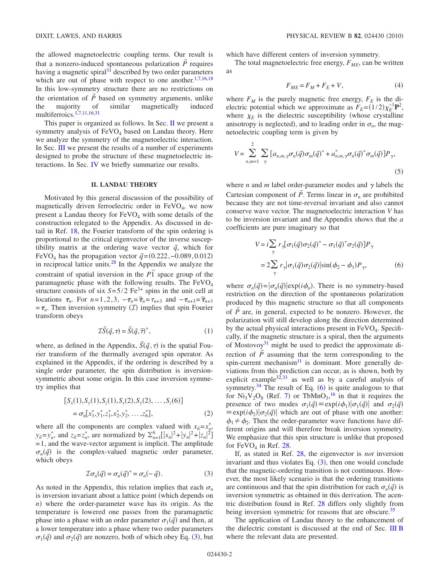the allowed magnetoelectric coupling terms. Our result is that a nonzero-induced spontaneous polarization  $\vec{P}$  requires having a magnetic spiral $3\overline{1}$  described by two order parameters which are out of phase with respect to one another. $1,7,16,18$ In this low-symmetry structure there are no restrictions on the orientation of  $\vec{P}$  based on symmetry arguments, unlike the majority of similar magnetically induced multiferroics.1,7,11,16,31

This paper is organized as follows. In Sec. II we present a symmetry analysis of  $FeVO<sub>4</sub>$  based on Landau theory. Here we analyze the symmetry of the magnetoelectric interaction. In Sec. III we present the results of a number of experiments designed to probe the structure of these magnetoelectric interactions. In Sec. IV we briefly summarize our results.

# **II. LANDAU THEORY**

Motivated by this general discussion of the possibility of magnetically driven ferroelectric order in  $FeVO<sub>4</sub>$ , we now present a Landau theory for  $FeVO<sub>4</sub>$  with some details of the construction relegated to the Appendix. As discussed in detail in Ref. 18, the Fourier transform of the spin ordering is proportional to the critical eigenvector of the inverse susceptibility matrix at the ordering wave vector  $\vec{q}$ , which for FeVO<sub>4</sub> has the propagation vector  $\vec{q}$  = (0.222, −0.089,0.012) in reciprocal lattice units. $28$  In the Appendix we analyze the constraint of spatial inversion in the  $\overline{PI}$  space group of the paramagnetic phase with the following results. The FeVO<sub>4</sub> structure consists of six  $S=5/2$  Fe<sup>3+</sup> spins in the unit cell at locations  $\tau_n$ . For  $n=1,2,3$ ,  $-\tau_n = \overline{\tau}_n = \tau_{n+3}$  and  $-\tau_{n+3} = \overline{\tau}_{n+3}$  $=\tau_n$ . Then inversion symmetry (*I*) implies that spin Fourier transform obeys

$$
\mathcal{I}\vec{S}(\vec{q},\tau) = \vec{S}(\vec{q},\overline{\tau})^*,\tag{1}
$$

where, as defined in the Appendix,  $\vec{S}(\vec{q}, \tau)$  is the spatial Fourier transform of the thermally averaged spin operator. As explained in the Appendix, if the ordering is described by a single order parameter, the spin distribution is inversionsymmetric about some origin. In this case inversion symmetry implies that

$$
[S_x(1), S_y(1), S_z(1), S_x(2), S_y(2), \dots, S_z(6)]
$$
  
=  $\sigma_n[x_1^*, y_1^*, z_1^*, x_2^*, y_2^*, \dots, z_6^*],$  (2)

where all the components are complex valued with  $x_{\overline{n}} = x_n^*$ ,  $y_{\bar{n}} = y_n^*$ , and  $z_{\bar{n}} = z_n^*$ , are normalized by  $\sum_{n=1}^6 \left[ |x_n|^2 + |y_n|^2 + |z_n|^2 \right]$  $=1$ , and the wave-vector argument is implicit. The amplitude  $\sigma_n(\vec{q})$  is the complex-valued magnetic order parameter, which obeys

$$
\mathcal{I}\sigma_n(\vec{q}) = \sigma_n(\vec{q})^* = \sigma_n(-\vec{q}).
$$
\n(3)

As noted in the Appendix, this relation implies that each  $\sigma_n$ is inversion invariant about a lattice point (which depends on *n*) where the order-parameter wave has its origin. As the temperature is lowered one passes from the paramagnetic phase into a phase with an order parameter  $\sigma_1(\vec{q})$  and then, at a lower temperature into a phase where two order parameters  $\sigma_1(\vec{q})$  and  $\sigma_2(\vec{q})$  are nonzero, both of which obey Eq. (3), but

which have different centers of inversion symmetry.

The total magnetoelectric free energy, *FME*, can be written as

$$
F_{ME} = F_M + F_E + V,\tag{4}
$$

where  $F_M$  is the purely magnetic free energy,  $F_E$  is the dielectric potential which we approximate as  $F_E = (1/2)\chi_E^{-1}P^2$ , where  $\chi_E$  is the dielectric susceptibility (whose crystalline anisotropy is neglected), and to leading order in  $\sigma_n$ , the magnetoelectric coupling term is given by

$$
V = \sum_{n,m=1}^{2} \sum_{\gamma} \left[ a_{n,m,\gamma} \sigma_n(\vec{q}) \sigma_m(\vec{q})^* + a_{n,m,\gamma}^* \sigma_n(\vec{q})^* \sigma_m(\vec{q}) \right] P_{\gamma},\tag{5}
$$

where  $n$  and  $m$  label order-parameter modes and  $\gamma$  labels the Cartesian component of  $\tilde{P}$ . Terms linear in  $\sigma_n$  are prohibited because they are not time-reversal invariant and also cannot conserve wave vector. The magnetoelectric interaction *V* has to be inversion invariant and the Appendix shows that the *a* coefficients are pure imaginary so that

$$
V = i \sum_{\gamma} r_{\gamma} [\sigma_1(\vec{q}) \sigma_2(\vec{q})^* - \sigma_1(\vec{q})^* \sigma_2(\vec{q})] P_{\gamma}
$$
  
=  $2 \sum_{\gamma} r_{\gamma} |\sigma_1(\vec{q}) \sigma_2(\vec{q})| \sin(\phi_2 - \phi_1) P_{\gamma},$  (6)

where  $\sigma_n(\vec{q}) = |\sigma_n(\vec{q})| \exp(i\phi_n)$ . There is no symmetry-based restriction on the direction of the spontaneous polarization produced by this magnetic structure so that all components of  $\tilde{P}$  are, in general, expected to be nonzero. However, the polarization will still develop along the direction determined by the actual physical interactions present in FeVO<sub>4</sub>. Specifically, if the magnetic structure is a spiral, then the arguments of Mostovoy<sup>31</sup> might be used to predict the approximate direction of  $\vec{P}$  assuming that the term corresponding to the spin-current mechanism<sup>11</sup> is dominant. More generally deviations from this prediction can occur, as is shown, both by explicit example $32,33$  as well as by a careful analysis of symmetry.<sup>34</sup> The result of Eq.  $(6)$  is quite analogous to that for  $Ni<sub>3</sub>V<sub>2</sub>O<sub>8</sub>$  (Ref. 7) or TbMnO<sub>3</sub>,<sup>16</sup> in that it requires the presence of two modes  $\sigma_1(\vec{q}) \equiv \exp(i\phi_1) |\sigma_1(\vec{q})|$  and  $\sigma_2(\vec{q})$  $\equiv \exp(i\phi_2)|\sigma_2(\vec{q})|$  which are out of phase with one another:  $\phi_1 \neq \phi_2$ . Then the order-parameter wave functions have different origins and will therefore break inversion symmetry. We emphasize that this spin structure is unlike that proposed for  $FeVO<sub>4</sub>$  in Ref. 28.

If, as stated in Ref. 28, the eigenvector is *not* inversion invariant and thus violates Eq.  $(3)$ , then one would conclude that the magnetic-ordering transition is not continuous. However, the most likely scenario is that the ordering transitions are continuous and that the spin distribution for each  $\sigma_n(\vec{q})$  is inversion symmetric as obtained in this derivation. The acentric distribution found in Ref. 28 differs only slightly from being inversion symmetric for reasons that are obscure.<sup>35</sup>

The application of Landau theory to the enhancement of the dielectric constant is discussed at the end of Sec. III B where the relevant data are presented.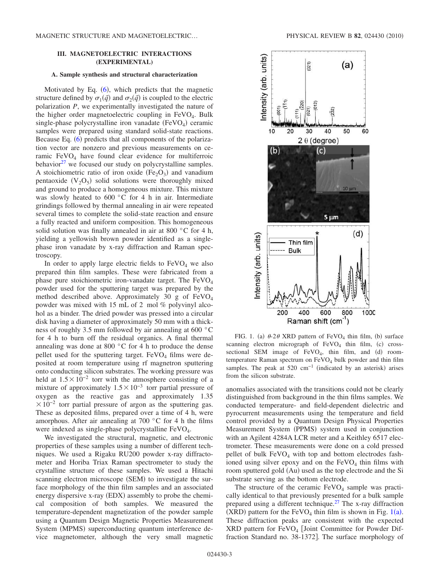# **III. MAGNETOELECTRIC INTERACTIONS (EXPERIMENTAL)**

#### **A. Sample synthesis and structural characterization**

Motivated by Eq.  $(6)$ , which predicts that the magnetic structure defined by  $\sigma_1(\vec{q})$  and  $\sigma_2(\vec{q})$  is coupled to the electric polarization *P*, we experimentally investigated the nature of the higher order magnetoelectric coupling in  $FeVO<sub>4</sub>$ . Bulk single-phase polycrystalline iron vanadate  $(FeVO<sub>4</sub>)$  ceramic samples were prepared using standard solid-state reactions. Because Eq.  $(6)$  predicts that all components of the polarization vector are nonzero and previous measurements on ceramic  $FeVO<sub>4</sub>$  have found clear evidence for multiferroic behavior $27$  we focused our study on polycrystalline samples. A stoichiometric ratio of iron oxide  $(Fe<sub>2</sub>O<sub>3</sub>)$  and vanadium pentaoxide  $(V_2O_5)$  solid solutions were thoroughly mixed and ground to produce a homogeneous mixture. This mixture was slowly heated to 600 °C for 4 h in air. Intermediate grindings followed by thermal annealing in air were repeated several times to complete the solid-state reaction and ensure a fully reacted and uniform composition. This homogeneous solid solution was finally annealed in air at 800 °C for 4 h, yielding a yellowish brown powder identified as a singlephase iron vanadate by x-ray diffraction and Raman spectroscopy.

In order to apply large electric fields to  $FeVO<sub>4</sub>$  we also prepared thin film samples. These were fabricated from a phase pure stoichiometric iron-vanadate target. The FeVO<sup>4</sup> powder used for the sputtering target was prepared by the method described above. Approximately 30 g of FeVO<sup>4</sup> powder was mixed with 15 mL of 2 mol % polyvinyl alcohol as a binder. The dried powder was pressed into a circular disk having a diameter of approximately 50 mm with a thickness of roughly 3.5 mm followed by air annealing at 600 °C for 4 h to burn off the residual organics. A final thermal annealing was done at 800 °C for 4 h to produce the dense pellet used for the sputtering target.  $FeVO<sub>4</sub>$  films were deposited at room temperature using rf magnetron sputtering onto conducting silicon substrates. The working pressure was held at  $1.5 \times 10^{-2}$  torr with the atmosphere consisting of a mixture of approximately  $1.5 \times 10^{-3}$  torr partial pressure of oxygen as the reactive gas and approximately 1.35  $\times 10^{-2}$  torr partial pressure of argon as the sputtering gas. These as deposited films, prepared over a time of 4 h, were amorphous. After air annealing at 700 °C for 4 h the films were indexed as single-phase polycrystalline FeVO<sub>4</sub>.

We investigated the structural, magnetic, and electronic properties of these samples using a number of different techniques. We used a Rigaku RU200 powder x-ray diffractometer and Horiba Triax Raman spectrometer to study the crystalline structure of these samples. We used a Hitachi scanning electron microscope (SEM) to investigate the surface morphology of the thin film samples and an associated energy dispersive x-ray (EDX) assembly to probe the chemical composition of both samples. We measured the temperature-dependent magnetization of the powder sample using a Quantum Design Magnetic Properties Measurement System (MPMS) superconducting quantum interference device magnetometer, although the very small magnetic



FIG. 1. (a)  $\theta$ -2 $\theta$  XRD pattern of FeVO<sub>4</sub> thin film, (b) surface scanning electron micrograph of  $FeVO<sub>4</sub>$  thin film, (c) crosssectional SEM image of  $FeVO<sub>4</sub>$ , thin film, and (d) roomtemperature Raman spectrum on  $FeVO<sub>4</sub>$  bulk powder and thin film samples. The peak at 520 cm<sup>-1</sup> (indicated by an asterisk) arises from the silicon substrate.

anomalies associated with the transitions could not be clearly distinguished from background in the thin films samples. We conducted temperature- and field-dependent dielectric and pyrocurrent measurements using the temperature and field control provided by a Quantum Design Physical Properties Measurement System (PPMS) system used in conjunction with an Agilent 4284A LCR meter and a Keithley 6517 electrometer. These measurements were done on a cold pressed pellet of bulk  $FeVO<sub>4</sub>$  with top and bottom electrodes fashioned using silver epoxy and on the  $FeVO<sub>4</sub>$  thin films with room sputtered gold (Au) used as the top electrode and the Si substrate serving as the bottom electrode.

The structure of the ceramic  $FeVO<sub>4</sub>$  sample was practically identical to that previously presented for a bulk sample prepared using a different technique.<sup>27</sup> The x-ray diffraction  $(XRD)$  pattern for the FeVO<sub>4</sub> thin film is shown in Fig. 1(a). These diffraction peaks are consistent with the expected XRD pattern for FeVO<sub>4</sub> [Joint Committee for Powder Diffraction Standard no. 38-1372]. The surface morphology of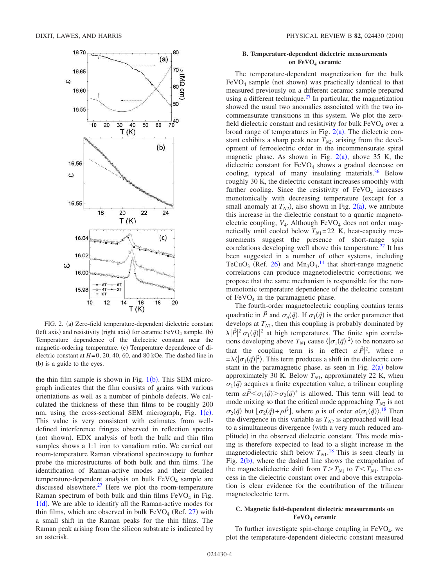

FIG. 2. (a) Zero-field temperature-dependent dielectric constant (left axis) and resistivity (right axis) for ceramic  $FeVO<sub>4</sub>$  sample. (b) Temperature dependence of the dielectric constant near the magnetic-ordering temperature. (c) Temperature dependence of dielectric constant at  $H=0$ , 20, 40, 60, and 80 kOe. The dashed line in (b) is a guide to the eyes.

the thin film sample is shown in Fig.  $1(b)$ . This SEM micrograph indicates that the film consists of grains with various orientations as well as a number of pinhole defects. We calculated the thickness of these thin films to be roughly 200 nm, using the cross-sectional SEM micrograph, Fig.  $1(c)$ . This value is very consistent with estimates from welldefined interference fringes observed in reflection spectra (not shown). EDX analysis of both the bulk and thin film samples shows a 1:1 iron to vanadium ratio. We carried out room-temperature Raman vibrational spectroscopy to further probe the microstructures of both bulk and thin films. The identification of Raman-active modes and their detailed  $temperature-dependent$  analysis on bulk  $FeVO<sub>4</sub>$  sample are discussed elsewhere. $27$  Here we plot the room-temperature Raman spectrum of both bulk and thin films  $FeVO<sub>4</sub>$  in Fig.  $1(d)$ . We are able to identify all the Raman-active modes for thin films, which are observed in bulk  $FeVO<sub>4</sub>$  (Ref. 27) with a small shift in the Raman peaks for the thin films. The Raman peak arising from the silicon substrate is indicated by an asterisk.

# **B. Temperature-dependent dielectric measurements on FeVO<sup>4</sup> ceramic**

The temperature-dependent magnetization for the bulk  $FeVO<sub>4</sub>$  sample (not shown) was practically identical to that measured previously on a different ceramic sample prepared using a different technique.<sup>27</sup> In particular, the magnetization showed the usual two anomalies associated with the two incommensurate transitions in this system. We plot the zerofield dielectric constant and resistivity for bulk  $FeVO<sub>4</sub>$  over a broad range of temperatures in Fig.  $2(a)$ . The dielectric constant exhibits a sharp peak near  $T_{N2}$ , arising from the development of ferroelectric order in the incommensurate spiral magnetic phase. As shown in Fig.  $2(a)$ , above 35 K, the dielectric constant for FeVO<sub>4</sub> shows a gradual decrease on cooling, typical of many insulating materials. $36$  Below roughly 30 K, the dielectric constant increases smoothly with further cooling. Since the resistivity of  $FeVO<sub>4</sub>$  increases monotonically with decreasing temperature (except for a small anomaly at  $T_{N2}$ ), also shown in Fig. 2(a), we attribute this increase in the dielectric constant to a quartic magnetoelectric coupling, *V*<sub>4</sub>. Although FeVO<sub>4</sub> does not order magnetically until cooled below  $T_{N1}=22$  K, heat-capacity measurements suggest the presence of short-range spin correlations developing well above this temperature.<sup>27</sup> It has been suggested in a number of other systems, including TeCuO<sub>3</sub> (Ref. 26) and  $Mn_3O_4$ ,<sup>14</sup> that short-range magnetic correlations can produce magnetodielectric corrections; we propose that the same mechanism is responsible for the nonmonotonic temperature dependence of the dielectric constant of  $FeVO<sub>4</sub>$  in the paramagnetic phase.

The fourth-order magnetoelectric coupling contains terms quadratic in  $\vec{P}$  and  $\sigma_n(\vec{q})$ . If  $\sigma_1(\vec{q})$  is the order parameter that develops at  $T_{N1}$ , then this coupling is probably dominated by  $\lambda |\vec{P}|^2 |\sigma_1(\vec{q})|^2$  at high temperatures. The finite spin correlations developing above  $T_{N1}$  cause  $\langle |\sigma_1(\vec{q})|^2 \rangle$  to be nonzero so that the coupling term is in effect  $a|\vec{P}|^2$ , where *a*  $=\lambda \langle |\sigma_1(\vec{q})|^2 \rangle$ . This term produces a shift in the dielectric constant in the paramagnetic phase, as seen in Fig.  $2(a)$  below approximately 30 K. Below  $T_{N1}$ , approximately 22 K, when  $\sigma_1(\vec{q})$  acquires a finite expectation value, a trilinear coupling term  $a\vec{P} < \sigma_1(\vec{q}) > \sigma_2(\vec{q})^*$  is allowed. This term will lead to mode mixing so that the critical mode approaching  $T_{N2}$  is not  $\sigma_2(\vec{q})$  but  $[\sigma_2(\vec{q}) + \rho \vec{P}]$ , where  $\rho$  is of order  $a \langle \sigma_1(\vec{q}) \rangle$ .<sup>18</sup> Then the divergence in this variable as  $T_{N2}$  is approached will lead to a simultaneous divergence (with a very much reduced amplitude) in the observed dielectric constant. This mode mixing is therefore expected to lead to a slight increase in the magnetodielectric shift below  $T_{N1}$ .<sup>18</sup> This is seen clearly in Fig.  $2(b)$ , where the dashed line shows the extrapolation of the magnetodielectric shift from  $T>T_{N1}$  to  $T < T_{N1}$ . The excess in the dielectric constant over and above this extrapolation is clear evidence for the contribution of the trilinear magnetoelectric term.

## **C. Magnetic field-dependent dielectric measurements on FeVO<sup>4</sup> ceramic**

To further investigate spin-charge coupling in  $FeVO<sub>4</sub>$ , we plot the temperature-dependent dielectric constant measured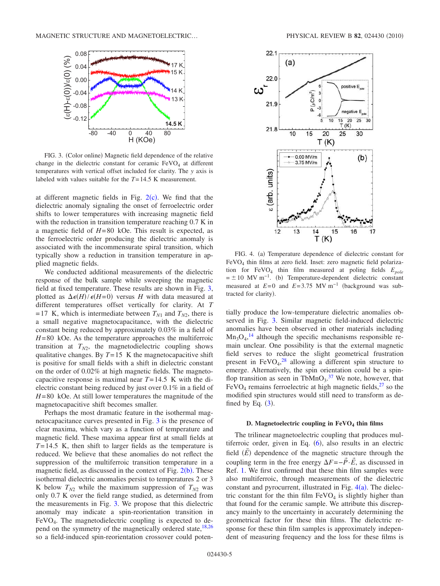

FIG. 3. (Color online) Magnetic field dependence of the relative change in the dielectric constant for ceramic  $FeVO<sub>4</sub>$  at different temperatures with vertical offset included for clarity. The *y* axis is labeled with values suitable for the *T*=14.5 K measurement.

at different magnetic fields in Fig.  $2(c)$ . We find that the dielectric anomaly signaling the onset of ferroelectric order shifts to lower temperatures with increasing magnetic field with the reduction in transition temperature reaching 0.7 K in a magnetic field of *H*=80 kOe. This result is expected, as the ferroelectric order producing the dielectric anomaly is associated with the incommensurate spiral transition, which typically show a reduction in transition temperature in applied magnetic fields.

We conducted additional measurements of the dielectric response of the bulk sample while sweeping the magnetic field at fixed temperature. These results are shown in Fig. 3, plotted as  $\Delta \epsilon(H)/\epsilon(H=0)$  versus *H* with data measured at different temperatures offset vertically for clarity. At *T*  $=17$  K, which is intermediate between  $T_{N1}$  and  $T_{N2}$ , there is a small negative magnetocapacitance, with the dielectric constant being reduced by approximately 0.03% in a field of *H*=80 kOe. As the temperature approaches the multiferroic transition at  $T_{N2}$ , the magnetodielectric coupling shows qualitative changes. By  $T=15$  K the magnetocapacitive shift is positive for small fields with a shift in dielectric constant on the order of 0.02% at high magnetic fields. The magnetocapacitive response is maximal near  $T=14.5$  K with the dielectric constant being reduced by just over 0.1% in a field of *H*=80 kOe. At still lower temperatures the magnitude of the magnetocapacitive shift becomes smaller.

Perhaps the most dramatic feature in the isothermal magnetocapacitance curves presented in Fig. 3 is the presence of clear maxima, which vary as a function of temperature and magnetic field. These maxima appear first at small fields at *T*=14.5 K, then shift to larger fields as the temperature is reduced. We believe that these anomalies do not reflect the suppression of the multiferroic transition temperature in a magnetic field, as discussed in the context of Fig.  $2(b)$ . These isothermal dielectric anomalies persist to temperatures 2 or 3 K below  $T_{N2}$  while the maximum suppression of  $T_{N2}$  was only 0.7 K over the field range studied, as determined from the measurements in Fig. 3. We propose that this dielectric anomaly may indicate a spin-reorientation transition in FeVO<sup>4</sup> . The magnetodielectric coupling is expected to depend on the symmetry of the magnetically ordered state,<sup>18,26</sup> so a field-induced spin-reorientation crossover could poten-



FIG. 4. (a) Temperature dependence of dielectric constant for FeVO<sup>4</sup> thin films at zero field. Inset: zero magnetic field polarization for FeVO<sup>4</sup> thin film measured at poling fields *Epole*  $= \pm 10$  MV m<sup>-1</sup>. (b) Temperature-dependent dielectric constant measured at  $E=0$  and  $E=3.75$  MV m<sup>-1</sup> (background was subtracted for clarity).

tially produce the low-temperature dielectric anomalies observed in Fig. 3. Similar magnetic field-induced dielectric anomalies have been observed in other materials including  $Mn<sub>3</sub>O<sub>4</sub>$ ,<sup>14</sup> although the specific mechanisms responsible remain unclear. One possibility is that the external magnetic field serves to reduce the slight geometrical frustration present in  $FeVO<sub>4</sub>$ ,<sup>28</sup> allowing a different spin structure to emerge. Alternatively, the spin orientation could be a spinflop transition as seen in  $TbMnO<sub>3</sub><sup>37</sup>$  We note, however, that  $FeVO<sub>4</sub>$  remains ferroelectric at high magnetic fields,  $27$  so the modified spin structures would still need to transform as defined by Eq.  $(3)$ .

# **D. Magnetoelectric coupling in FeVO<sup>4</sup> thin films**

The trilinear magnetoelectric coupling that produces multiferroic order, given in Eq.  $(6)$ , also results in an electric field  $(\vec{E})$  dependence of the magnetic structure through the coupling term in the free energy  $\Delta F = -\vec{P} \cdot \vec{E}$ , as discussed in Ref. 1. We first confirmed that these thin film samples were also multiferroic, through measurements of the dielectric constant and pyrocurrent, illustrated in Fig.  $4(a)$ . The dielectric constant for the thin film  $FeVO<sub>4</sub>$  is slightly higher than that found for the ceramic sample. We attribute this discrepancy mainly to the uncertainty in accurately determining the geometrical factor for these thin films. The dielectric response for these thin film samples is approximately independent of measuring frequency and the loss for these films is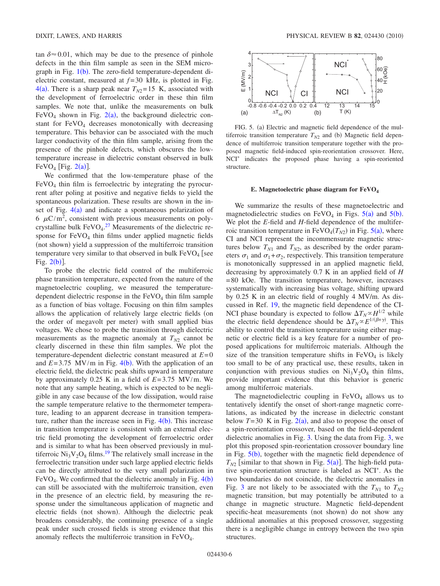tan  $\delta \approx 0.01$ , which may be due to the presence of pinhole defects in the thin film sample as seen in the SEM micrograph in Fig.  $1(b)$ . The zero-field temperature-dependent dielectric constant, measured at *f* =30 kHz, is plotted in Fig.  $4(a)$ . There is a sharp peak near  $T_{N2}=15$  K, associated with the development of ferroelectric order in these thin film samples. We note that, unlike the measurements on bulk  $FeVO<sub>4</sub>$  shown in Fig. 2(a), the background dielectric constant for  $FeVO<sub>4</sub>$  decreases monotonically with decreasing temperature. This behavior can be associated with the much larger conductivity of the thin film sample, arising from the presence of the pinhole defects, which obscures the lowtemperature increase in dielectric constant observed in bulk FeVO<sub>4</sub> [Fig.  $2(a)$ ].

We confirmed that the low-temperature phase of the  $FeVO<sub>4</sub>$  thin film is ferroelectric by integrating the pyrocurrent after poling at positive and negative fields to yield the spontaneous polarization. These results are shown in the inset of Fig.  $4(a)$  and indicate a spontaneous polarization of 6  $\mu$ C/m<sup>2</sup>, consistent with previous measurements on polycrystalline bulk  $FeVO<sub>4</sub>$ .<sup>27</sup> Measurements of the dielectric response for  $FeVO<sub>4</sub>$  thin films under applied magnetic fields (not shown) yield a suppression of the multiferroic transition temperature very similar to that observed in bulk  $FeVO<sub>4</sub>$  [see Fig.  $2(b)$ ].

To probe the electric field control of the multiferroic phase transition temperature, expected from the nature of the magnetoelectric coupling, we measured the temperaturedependent dielectric response in the  $FeVO<sub>4</sub>$  thin film sample as a function of bias voltage. Focusing on thin film samples allows the application of relatively large electric fields (on the order of megavolt per meter) with small applied bias voltages. We chose to probe the transition through dielectric measurements as the magnetic anomaly at  $T_{N2}$  cannot be clearly discerned in these thin film samples. We plot the temperature-dependent dielectric constant measured at *E*=0 and  $E = 3.75$  MV/m in Fig. 4(b). With the application of an electric field, the dielectric peak shifts upward in temperature by approximately 0.25 K in a field of *E*=3.75 MV/m. We note that any sample heating, which is expected to be negligible in any case because of the low dissipation, would raise the sample temperature relative to the thermometer temperature, leading to an apparent decrease in transition temperature, rather than the increase seen in Fig.  $4(b)$ . This increase in transition temperature is consistent with an external electric field promoting the development of ferroelectric order and is similar to what has been observed previously in multiferroic  $Ni<sub>3</sub>V<sub>2</sub>O<sub>8</sub>$  films.<sup>19</sup> The relatively small increase in the ferroelectric transition under such large applied electric fields can be directly attributed to the very small polarization in  $FeVO<sub>4</sub>$ . We confirmed that the dielectric anomaly in Fig.  $4(b)$ can still be associated with the multiferroic transition, even in the presence of an electric field, by measuring the response under the simultaneous application of magnetic and electric fields (not shown). Although the dielectric peak broadens considerably, the continuing presence of a single peak under such crossed fields is strong evidence that this anomaly reflects the multiferroic transition in FeVO<sub>4</sub>.



FIG. 5. (a) Electric and magnetic field dependence of the multiferroic transition temperature  $T_{N2}$  and (b) Magnetic field dependence of multiferroic transition temperature together with the proposed magnetic field-induced spin-reorientation crossover. Here, NCI<sup>\*</sup> indicates the proposed phase having a spin-reoriented structure.

#### **E. Magnetoelectric phase diagram for FeVO<sup>4</sup>**

We summarize the results of these magnetoelectric and magnetodielectric studies on  $FeVO<sub>4</sub>$  in Figs.  $5(a)$  and  $5(b)$ . We plot the *E*-field and *H*-field dependence of the multiferroic transition temperature in  $FeVO<sub>4</sub>(T<sub>N2</sub>)$  in Fig.  $5(a)$ , where CI and NCI represent the incommensurate magnetic structures below  $T_{N1}$  and  $T_{N2}$ , as described by the order parameters  $\sigma_1$  and  $\sigma_1 + \sigma_2$ , respectively. This transition temperature is monotonically suppressed in an applied magnetic field, decreasing by approximately 0.7 K in an applied field of *H* =80 kOe. The transition temperature, however, increases systematically with increasing bias voltage, shifting upward by 0.25 K in an electric field of roughly 4 MV/m. As discussed in Ref. 19, the magnetic field dependence of the CI-NCI phase boundary is expected to follow  $\Delta T_N \propto H^{1/2}$  while the electric field dependence should be  $\Delta T_N \propto E^{1/(\beta+\gamma)}$ . This ability to control the transition temperature using either magnetic or electric field is a key feature for a number of proposed applications for multiferroic materials. Although the size of the transition temperature shifts in  $FeVO<sub>4</sub>$  is likely too small to be of any practical use, these results, taken in conjunction with previous studies on  $Ni<sub>3</sub>V<sub>2</sub>O<sub>8</sub>$  thin films, provide important evidence that this behavior is generic among multiferroic materials.

The magnetodielectric coupling in  $FeVO<sub>4</sub>$  allows us to tentatively identify the onset of short-range magnetic correlations, as indicated by the increase in dielectric constant below  $T=30$  K in Fig.  $2(a)$ , and also to propose the onset of a spin-reorientation crossover, based on the field-dependent dielectric anomalies in Fig. 3. Using the data from Fig. 3, we plot this proposed spin-reorientation crossover boundary line in Fig.  $5(b)$ , together with the magnetic field dependence of  $T_{N2}$  [similar to that shown in Fig.  $5(a)$ ]. The high-field putative spin-reorientation structure is labeled as NCI<sup>\*</sup>. As the two boundaries do not coincide, the dielectric anomalies in Fig. 3 are not likely to be associated with the  $T_{N1}$  to  $T_{N2}$ magnetic transition, but may potentially be attributed to a change in magnetic structure. Magnetic field-dependent specific-heat measurements (not shown) do not show any additional anomalies at this proposed crossover, suggesting there is a negligible change in entropy between the two spin structures.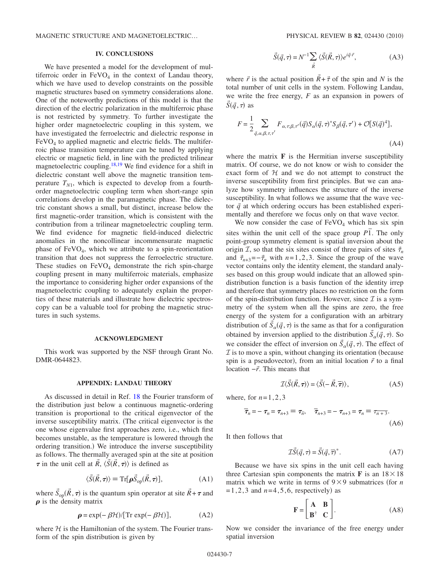MAGNETIC STRUCTURE AND MAGNETOELECTRIC...

### **IV. CONCLUSIONS**

We have presented a model for the development of multiferroic order in  $FeVO<sub>4</sub>$  in the context of Landau theory, which we have used to develop constraints on the possible magnetic structures based on symmetry considerations alone. One of the noteworthy predictions of this model is that the direction of the electric polarization in the multiferroic phase is not restricted by symmetry. To further investigate the higher order magnetoelectric coupling in this system, we have investigated the ferroelectric and dielectric response in FeVO<sub>4</sub> to applied magnetic and electric fields. The multiferroic phase transition temperature can be tuned by applying electric or magnetic field, in line with the predicted trilinear magnetoelectric coupling.18,19 We find evidence for a shift in dielectric constant well above the magnetic transition temperature  $T_{N1}$ , which is expected to develop from a fourthorder magnetoelectric coupling term when short-range spin correlations develop in the paramagnetic phase. The dielectric constant shows a small, but distinct, increase below the first magnetic-order transition, which is consistent with the contribution from a trilinear magnetoelectric coupling term. We find evidence for magnetic field-induced dielectric anomalies in the noncollinear incommensurate magnetic phase of  $FeVO<sub>4</sub>$ , which we attribute to a spin-reorientation transition that does not suppress the ferroelectric structure. These studies on  $FeVO<sub>4</sub>$  demonstrate the rich spin-charge coupling present in many multiferroic materials, emphasize the importance to considering higher order expansions of the magnetoelectric coupling to adequately explain the properties of these materials and illustrate how dielectric spectroscopy can be a valuable tool for probing the magnetic structures in such systems.

#### **ACKNOWLEDGMENT**

This work was supported by the NSF through Grant No. DMR-0644823.

## **APPENDIX: LANDAU THEORY**

As discussed in detail in Ref. 18 the Fourier transform of the distribution just below a continuous magnetic-ordering transition is proportional to the critical eigenvector of the inverse susceptibility matrix. (The critical eigenvector is the one whose eigenvalue first approaches zero, i.e., which first becomes unstable, as the temperature is lowered through the ordering transition.) We introduce the inverse susceptibility as follows. The thermally averaged spin at the site at position  $\tau$  in the unit cell at  $\vec{R}$ ,  $\langle \vec{S}(\vec{R}, \tau) \rangle$  is defined as

$$
\langle \vec{S}(\vec{R}, \tau) \rangle \equiv \text{Tr}[\rho \vec{S}_{op}(\vec{R}, \tau)], \tag{A1}
$$

where  $\vec{S}_{op}(\vec{R}, \tau)$  is the quantum spin operator at site  $\vec{R} + \tau$  and  $\rho$  is the density matrix

$$
\rho = \exp(-\beta \mathcal{H})/[\text{Tr} \exp(-\beta \mathcal{H})],
$$
 (A2)

where  $H$  is the Hamiltonian of the system. The Fourier transform of the spin distribution is given by

$$
\vec{S}(\vec{q},\tau) = N^{-1} \sum_{\vec{R}} \langle \vec{S}(\vec{R},\tau) \rangle e^{i\vec{q}\cdot\vec{r}},
$$
 (A3)

where  $\vec{r}$  is the actual position  $\vec{R} + \vec{\tau}$  of the spin and *N* is the total number of unit cells in the system. Following Landau, we write the free energy, *F* as an expansion in powers of  $\vec{S}(\vec{q},\tau)$  as

$$
F = \frac{1}{2} \sum_{\vec{q}, \alpha, \beta, \tau, \tau'} F_{\alpha, \tau, \beta, \tau'}(\vec{q}) S_{\alpha}(\vec{q}, \tau)^* S_{\beta}(\vec{q}, \tau') + \mathcal{O}[S(\vec{q})^4],
$$
\n(A4)

where the matrix **F** is the Hermitian inverse susceptibility matrix. Of course, we do not know or wish to consider the exact form of  $H$  and we do not attempt to construct the inverse susceptibility from first principles. But we can analyze how symmetry influences the structure of the inverse susceptibility. In what follows we assume that the wave vector  $\vec{q}$  at which ordering occurs has been established experimentally and therefore we focus only on that wave vector.

We now consider the case of  $FeVO<sub>4</sub>$  which has six spin sites within the unit cell of the space group  $P\overline{1}$ . The only point-group symmetry element is spatial inversion about the origin *I*, so that the six sites consist of three pairs of sites  $\vec{\tau}_n$ and  $\vec{\tau}_{n+3} = -\vec{\tau}_n$  with  $n=1,2,3$ . Since the group of the wave vector contains only the identity element, the standard analyses based on this group would indicate that an allowed spindistribution function is a basis function of the identity irrep and therefore that symmetry places no restriction on the form of the spin-distribution function. However, since  $\mathcal I$  is a symmetry of the system when all the spins are zero, the free energy of the system for a configuration with an arbitrary distribution of  $\vec{S}_{\alpha}(\vec{q}, \tau)$  is the same as that for a configuration obtained by inversion applied to the distribution  $\vec{S}_\alpha(\vec{q}, \tau)$ . So we consider the effect of inversion on  $\vec{S}_\alpha(\vec{q}, \tau)$ . The effect of  $\mathcal I$  is to move a spin, without changing its orientation (because spin is a pseudovector), from an initial location  $\vec{r}$  to a final location −*r*. This means that

$$
\mathcal{I}\langle\vec{S}(\vec{R},\tau)\rangle = \langle\vec{S}(-\vec{R},\overline{\tau})\rangle,\tag{A5}
$$

where, for  $n=1,2,3$ 

$$
\overline{\tau}_n = -\tau_n = \tau_{n+3} \equiv \tau_{\overline{n}}, \quad \overline{\tau}_{n+3} = -\tau_{n+3} = \tau_n \equiv \tau_{\overline{n+3}}.
$$
\n(A6)

It then follows that

$$
\mathcal{I}\vec{S}(\vec{q},\tau) = \vec{S}(\vec{q},\overline{\tau})^*.
$$
 (A7)

Because we have six spins in the unit cell each having three Cartesian spin components the matrix **F** is an  $18 \times 18$ matrix which we write in terms of  $9 \times 9$  submatrices (for *n*  $= 1, 2, 3$  and  $n = 4, 5, 6$ , respectively) as

$$
\mathbf{F} = \begin{bmatrix} \mathbf{A} & \mathbf{B} \\ \mathbf{B}^{\dagger} & \mathbf{C} \end{bmatrix} .
$$
 (A8)

Now we consider the invariance of the free energy under spatial inversion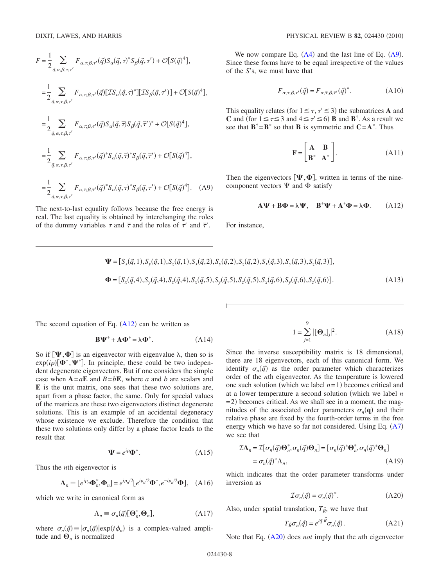$$
F = \frac{1}{2} \sum_{\vec{q}, \alpha, \beta, \tau, \tau'} F_{\alpha, \tau, \beta, \tau'}(\vec{q}) S_{\alpha}(\vec{q}, \tau)^* S_{\beta}(\vec{q}, \tau') + \mathcal{O}[S(\vec{q})^4],
$$
  
\n
$$
= \frac{1}{2} \sum_{\vec{q}, \alpha, \tau, \beta, \tau'} F_{\alpha, \tau, \beta, \tau'}(\vec{q}) [\mathcal{IS}_{\alpha}(\vec{q}, \tau)^*] [\mathcal{IS}_{\beta}(\vec{q}, \tau')] + \mathcal{O}[S(\vec{q})^4],
$$
  
\n
$$
= \frac{1}{2} \sum_{\vec{q}, \alpha, \tau, \beta, \tau'} F_{\alpha, \tau, \beta, \tau'}(\vec{q}) S_{\alpha}(\vec{q}, \overline{\tau}) S_{\beta}(\vec{q}, \overline{\tau}')^* + \mathcal{O}[S(\vec{q})^4],
$$
  
\n
$$
= \frac{1}{2} \sum_{\vec{q}, \alpha, \tau, \beta, \tau'} F_{\alpha, \tau, \beta, \tau'}(\vec{q})^* S_{\alpha}(\vec{q}, \overline{\tau})^* S_{\beta}(\vec{q}, \overline{\tau}') + \mathcal{O}[S(\vec{q})^4],
$$
  
\n
$$
= \frac{1}{2} \sum_{\vec{q}, \alpha, \tau, \beta, \tau'} F_{\alpha, \overline{\tau}, \beta, \overline{\tau}'}(\vec{q})^* S_{\alpha}(\vec{q}, \tau)^* S_{\beta}(\vec{q}, \tau') + \mathcal{O}[S(\vec{q})^4].
$$
 (A9)

The next-to-last equality follows because the free energy is real. The last equality is obtained by interchanging the roles of the dummy variables  $\tau$  and  $\bar{\tau}$  and the roles of  $\tau'$  and  $\bar{\tau}'$ .

We now compare Eq.  $(A4)$  and the last line of Eq.  $(A9)$ . Since these forms have to be equal irrespective of the values of the *S*'s, we must have that

$$
F_{\alpha,\tau,\beta,\tau'}(\vec{q}) = F_{\alpha,\overline{\tau},\beta,\overline{\tau}'}(\vec{q})^*.
$$
 (A10)

This equality relates (for  $1 \leq \tau, \tau' \leq 3$ ) the submatrices **A** and **C** and (for  $1 \le \tau \le 3$  and  $4 \le \tau' \le 6$ ) **B** and **B**<sup>†</sup>. As a result we see that  $\mathbf{B}^{\dagger} = \mathbf{B}^*$  so that **B** is symmetric and  $\mathbf{C} = \mathbf{A}^*$ . Thus

$$
\mathbf{F} = \begin{bmatrix} \mathbf{A} & \mathbf{B} \\ \mathbf{B}^* & \mathbf{A}^* \end{bmatrix} . \tag{A11}
$$

Then the eigenvectors  $[\Psi, \Phi]$ , written in terms of the ninecomponent vectors  $\Psi$  and  $\Phi$  satisfy

$$
\mathbf{A}\Psi + \mathbf{B}\Phi = \lambda\Psi, \quad \mathbf{B}^*\Psi + \mathbf{A}^*\Phi = \lambda\Phi. \tag{A12}
$$

For instance,

$$
\Psi = [S_x(\vec{q}, 1), S_y(\vec{q}, 1), S_z(\vec{q}, 1), S_x(\vec{q}, 2), S_y(\vec{q}, 2), S_z(\vec{q}, 2), S_x(\vec{q}, 3), S_y(\vec{q}, 3), S_z(\vec{q}, 3)],
$$
  
\n
$$
\Phi = [S_x(\vec{q}, 4), S_y(\vec{q}, 4), S_z(\vec{q}, 4), S_x(\vec{q}, 5), S_y(\vec{q}, 5), S_z(\vec{q}, 5), S_x(\vec{q}, 6), S_y(\vec{q}, 6), S_z(\vec{q}, 6)].
$$
\n(A13)

The second equation of Eq.  $(A12)$  can be written as

$$
\mathbf{B}\mathbf{\Psi}^* + \mathbf{A}\mathbf{\Phi}^* = \lambda \mathbf{\Phi}^*.
$$
 (A14)

So if  $[\Psi, \Phi]$  is an eigenvector with eigenvalue  $\lambda$ , then so is  $exp(i\rho)[\Phi^*, \Psi^*]$ . In principle, these could be two independent degenerate eigenvectors. But if one considers the simple case when  $A = aE$  and  $B = bE$ , where *a* and *b* are scalars and **E** is the unit matrix, one sees that these two solutions are, apart from a phase factor, the same. Only for special values of the matrices are these two eigenvectors distinct degenerate solutions. This is an example of an accidental degeneracy whose existence we exclude. Therefore the condition that these two solutions only differ by a phase factor leads to the result that

$$
\Psi = e^{i\rho} \Phi^*.
$$
 (A15)

Thus the *n*th eigenvector is

$$
\Lambda_n = [e^{i\rho_n} \Phi_n^*, \Phi_n] = e^{i\rho_n/2} [e^{i\rho_n/2} \Phi^*, e^{-i\rho_n/2} \Phi], \quad (A16)
$$

which we write in canonical form as

$$
\Lambda_n \equiv \sigma_n(\vec{q}) [\mathbf{\Theta}_n^*, \mathbf{\Theta}_n], \tag{A17}
$$

where  $\sigma_n(\vec{q}) \equiv |\sigma_n(\vec{q})| \exp(i\phi_n)$  is a complex-valued amplitude and  $\mathbf{\Theta}_n$  is normalized

$$
1 = \sum_{j=1}^{9} |[\mathbf{\Theta}_n]_j|^2.
$$
 (A18)

Since the inverse susceptibility matrix is 18 dimensional, there are 18 eigenvectors, each of this canonical form. We identify  $\sigma_n(\vec{q})$  as the order parameter which characterizes order of the *n*th eigenvector. As the temperature is lowered one such solution (which we label  $n=1$ ) becomes critical and at a lower temperature a second solution (which we label  $n$ =2) becomes critical. As we shall see in a moment, the magnitudes of the associated order parameters  $\sigma_n(\mathbf{q})$  and their relative phase are fixed by the fourth-order terms in the free energy which we have so far not considered. Using Eq.  $(A7)$ we see that

$$
\mathcal{I}\Lambda_n = \mathcal{I}[\sigma_n(\vec{q})\Theta_n^*, \sigma_n(\vec{q})\Theta_n] = [\sigma_n(\vec{q})^*\Theta_n^*, \sigma_n(\vec{q})^*\Theta_n]
$$
  
=  $\sigma_n(\vec{q})^*\Lambda_n$ , (A19)

which indicates that the order parameter transforms under inversion as

$$
\mathcal{I}\sigma_n(\vec{q}) = \sigma_n(\vec{q})^*.
$$
 (A20)

Also, under spatial translation,  $T_R^*$ , we have that

$$
T_{R}^{\ast} \sigma_{n}(\vec{q}) = e^{i\vec{q}\cdot\vec{R}} \sigma_{n}(\vec{q}). \tag{A21}
$$

Note that Eq. (A20) does *not* imply that the *n*th eigenvector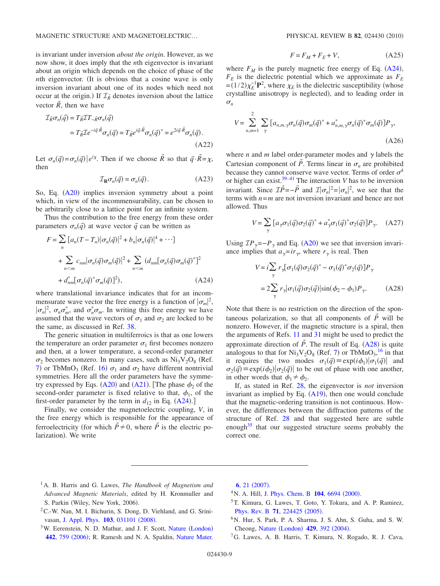MAGNETIC STRUCTURE AND MAGNETOELECTRIC... PHYSICAL REVIEW B 82, 024430 (2010)

is invariant under inversion *about the origin*. However, as we now show, it does imply that the *n*th eigenvector is invariant about an origin which depends on the choice of phase of the *nth* eigenvector. (It is obvious that a cosine wave is only inversion invariant about one of its nodes which need not occur at the origin.) If  $\mathcal{I}_{R}$  denotes inversion about the lattice vector  $\vec{R}$ , then we have

$$
\mathcal{I}_{\vec{R}}\sigma_n(\vec{q}) = T_{\vec{R}}\mathcal{I}T_{-\vec{R}}\sigma_n(\vec{q})
$$
  
= 
$$
T_{\vec{R}}\mathcal{I}e^{-i\vec{q}\cdot\vec{R}}\sigma_n(\vec{q}) = T_{\vec{R}}e^{i\vec{q}\cdot\vec{R}}\sigma_n(\vec{q})^* = e^{2i\vec{q}\cdot\vec{R}}\sigma_n(\vec{q}).
$$
  
(A22)

Let  $\sigma_n(\vec{q}) = \sigma_n(\vec{q}) \left| e^{i\chi} \right|$ . Then if we choose  $\vec{R}$  so that  $\vec{q} \cdot \vec{R} = \chi$ , then

$$
\mathcal{I}_{\mathbf{R}}\sigma_n(\vec{q}) = \sigma_n(\vec{q}).
$$
 (A23)

So, Eq. (A20) implies inversion symmetry about a point which, in view of the incommensurability, can be chosen to be arbitrarily close to a lattice point for an infinite system.

Thus the contribution to the free energy from these order parameters  $\sigma_n(\vec{q})$  at wave vector  $\vec{q}$  can be written as

$$
F = \sum_{n} [a_n (T - T_n) | \sigma_n(\vec{q})|^2 + b_n | \sigma_n(\vec{q})|^4 + \cdots ]
$$
  
+ 
$$
\sum_{n \le m} c_{nm} | \sigma_n(\vec{q}) \sigma_m(\vec{q})|^2 + \sum_{n \le m} (d_{nm} [\sigma_n(\vec{q}) \sigma_m(\vec{q})^* ]^2
$$
  
+ 
$$
d_{nm}^* [\sigma_n(\vec{q})^* \sigma_m(\vec{q})]^2), \qquad (A24)
$$

where translational invariance indicates that for an incommensurate wave vector the free energy is a function of  $|\sigma_m|^2$ ,  $|\sigma_n|^2$ ,  $\sigma_n \sigma_m^*$ , and  $\sigma_n^* \sigma_m$ . In writing this free energy we have assumed that the wave vectors of  $\sigma_1$  and  $\sigma_2$  are locked to be the same, as discussed in Ref. 38.

The generic situation in multiferroics is that as one lowers the temperature an order parameter  $\sigma_1$  first becomes nonzero and then, at a lower temperature, a second-order parameter  $\sigma_2$  becomes nonzero. In many cases, such as  $Ni_3V_2O_8$  (Ref. 7) or TbMnO<sub>3</sub> (Ref. 16)  $\sigma_1$  and  $\sigma_2$  have different nontrivial symmetries. Here all the order parameters have the symmetry expressed by Eqs. (A20) and (A21). [The phase  $\phi_2$  of the second-order parameter is fixed relative to that,  $\phi_1$ , of the first-order parameter by the term in  $d_{12}$  in Eq. (A24).]

Finally, we consider the magnetoelectric coupling, *V*, in the free energy which is responsible for the appearance of ferroelectricity (for which  $\vec{P} \neq 0$ , where  $\vec{P}$  is the electric polarization). We write

$$
F = F_M + F_E + V,\tag{A25}
$$

where  $F_M$  is the purely magnetic free energy of Eq.  $(A24)$ ,  $F<sub>E</sub>$  is the dielectric potential which we approximate as  $F<sub>E</sub>$  $=(1/2)\chi_E^{-1}P^2$ , where  $\chi_E$  is the dielectric susceptibility (whose crystalline anisotropy is neglected), and to leading order in  $\sigma_n$ 

$$
V = \sum_{n,m=1}^{2} \sum_{\gamma} \left[ a_{n,m,\gamma} \sigma_n(\vec{q}) \sigma_m(\vec{q})^* + a_{n,m,\gamma}^* \sigma_n(\vec{q})^* \sigma_m(\vec{q}) \right] P_{\gamma},
$$
\n(A26)

where *n* and *m* label order-parameter modes and  $\gamma$  labels the Cartesian component of  $\vec{P}$ . Terms linear in  $\sigma_n$  are prohibited because they cannot conserve wave vector. Terms of order  $\sigma^4$ or higher can exist.39–41 The interaction *V* has to be inversion invariant. Since  $\mathcal{I}\vec{P} = -\vec{P}$  and  $\mathcal{I}|\sigma_n|^2 = |\sigma_n|^2$ , we see that the terms with *n*=*m* are not inversion invariant and hence are not allowed. Thus

$$
V = \sum_{\gamma} \left[ a_{\gamma} \sigma_1(\vec{q}) \sigma_2(\vec{q})^* + a_{\gamma}^* \sigma_1(\vec{q})^* \sigma_2(\vec{q}) \right] P_{\gamma}. \quad (A27)
$$

Using  $\mathcal{IP}_{\gamma}=-P_{\gamma}$  and Eq. (A20) we see that inversion invariance implies that  $a_{\gamma} = ir_{\gamma}$ , where  $r_{\gamma}$  is real. Then

$$
V = i \sum_{\gamma} r_{\gamma} [\sigma_1(\vec{q}) \sigma_2(\vec{q})^* - \sigma_1(\vec{q})^* \sigma_2(\vec{q})] P_{\gamma}
$$
  
=  $2 \sum_{\gamma} r_{\gamma} |\sigma_1(\vec{q}) \sigma_2(\vec{q})| \sin(\phi_2 - \phi_1) P_{\gamma}.$  (A28)

Note that there is no restriction on the direction of the spontaneous polarization, so that all components of  $\vec{P}$  will be nonzero. However, if the magnetic structure is a spiral, then the arguments of Refs. 11 and 31 might be used to predict the approximate direction of  $\vec{P}$ . The result of Eq. (A28) is quite analogous to that for  $Ni_3V_2O_8$  (Ref. 7) or TbMnO<sub>3</sub>,<sup>16</sup> in that it requires the two modes  $\sigma_1(\vec{q}) \equiv \exp(i\phi_1)|\sigma_1(\vec{q})|$  and  $\sigma_2(\vec{q}) \equiv \exp(i\phi_2) | \sigma_2(\vec{q}) |$  to be out of phase with one another, in other words that  $\phi_1 \neq \phi_2$ .

If, as stated in Ref. 28, the eigenvector is *not* inversion invariant as implied by Eq.  $(A19)$ , then one would conclude that the magnetic-ordering transition is not continuous. However, the differences between the diffraction patterns of the structure of Ref. 28 and that suggested here are subtle enough $^{35}$  that our suggested structure seems probably the correct one.

- <sup>1</sup>A. B. Harris and G. Lawes, *The Handbook of Magnetism and Advanced Magnetic Materials*, edited by H. Kronmuller and S. Parkin (Wiley, New York, 2006).
- <sup>2</sup>C.-W. Nan, M. I. Bichurin, S. Dong, D. Viehland, and G. Srinivasan, J. Appl. Phys. **103**, 031101 (2008).
- <sup>3</sup>W. Eerenstein, N. D. Mathur, and J. F. Scott, Nature (London) **442**, 759 (2006); R. Ramesh and N. A. Spaldin, Nature Mater.

**6**, 21 (2007).

- <sup>4</sup> N. A. Hill, J. Phys. Chem. B **104**, 6694 (2000).
- <sup>5</sup>T. Kimura, G. Lawes, T. Goto, Y. Tokura, and A. P. Ramirez, Phys. Rev. B **71**, 224425 (2005).
- <sup>6</sup>N. Hur, S. Park, P. A. Sharma, J. S. Ahn, S. Guha, and S. W. Cheong, Nature (London) 429, 392 (2004).
- <sup>7</sup>G. Lawes, A. B. Harris, T. Kimura, N. Rogado, R. J. Cava,